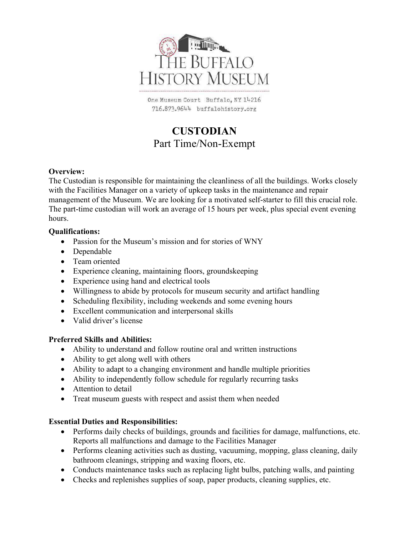

One Museum Court Buffalo, NY 14216 716.873.9644 buffalohistory.org

# CUSTODIAN Part Time/Non-Exempt

## Overview:

The Custodian is responsible for maintaining the cleanliness of all the buildings. Works closely with the Facilities Manager on a variety of upkeep tasks in the maintenance and repair management of the Museum. We are looking for a motivated self-starter to fill this crucial role. The part-time custodian will work an average of 15 hours per week, plus special event evening hours.

## Qualifications:

- Passion for the Museum's mission and for stories of WNY
- Dependable
- Team oriented
- Experience cleaning, maintaining floors, groundskeeping
- Experience using hand and electrical tools
- Willingness to abide by protocols for museum security and artifact handling
- Scheduling flexibility, including weekends and some evening hours
- Excellent communication and interpersonal skills
- Valid driver's license

#### Preferred Skills and Abilities:

- Ability to understand and follow routine oral and written instructions
- Ability to get along well with others
- Ability to adapt to a changing environment and handle multiple priorities
- Ability to independently follow schedule for regularly recurring tasks
- Attention to detail
- Treat museum guests with respect and assist them when needed

# Essential Duties and Responsibilities:

- Performs daily checks of buildings, grounds and facilities for damage, malfunctions, etc. Reports all malfunctions and damage to the Facilities Manager
- Performs cleaning activities such as dusting, vacuuming, mopping, glass cleaning, daily bathroom cleanings, stripping and waxing floors, etc.
- Conducts maintenance tasks such as replacing light bulbs, patching walls, and painting
- Checks and replenishes supplies of soap, paper products, cleaning supplies, etc.